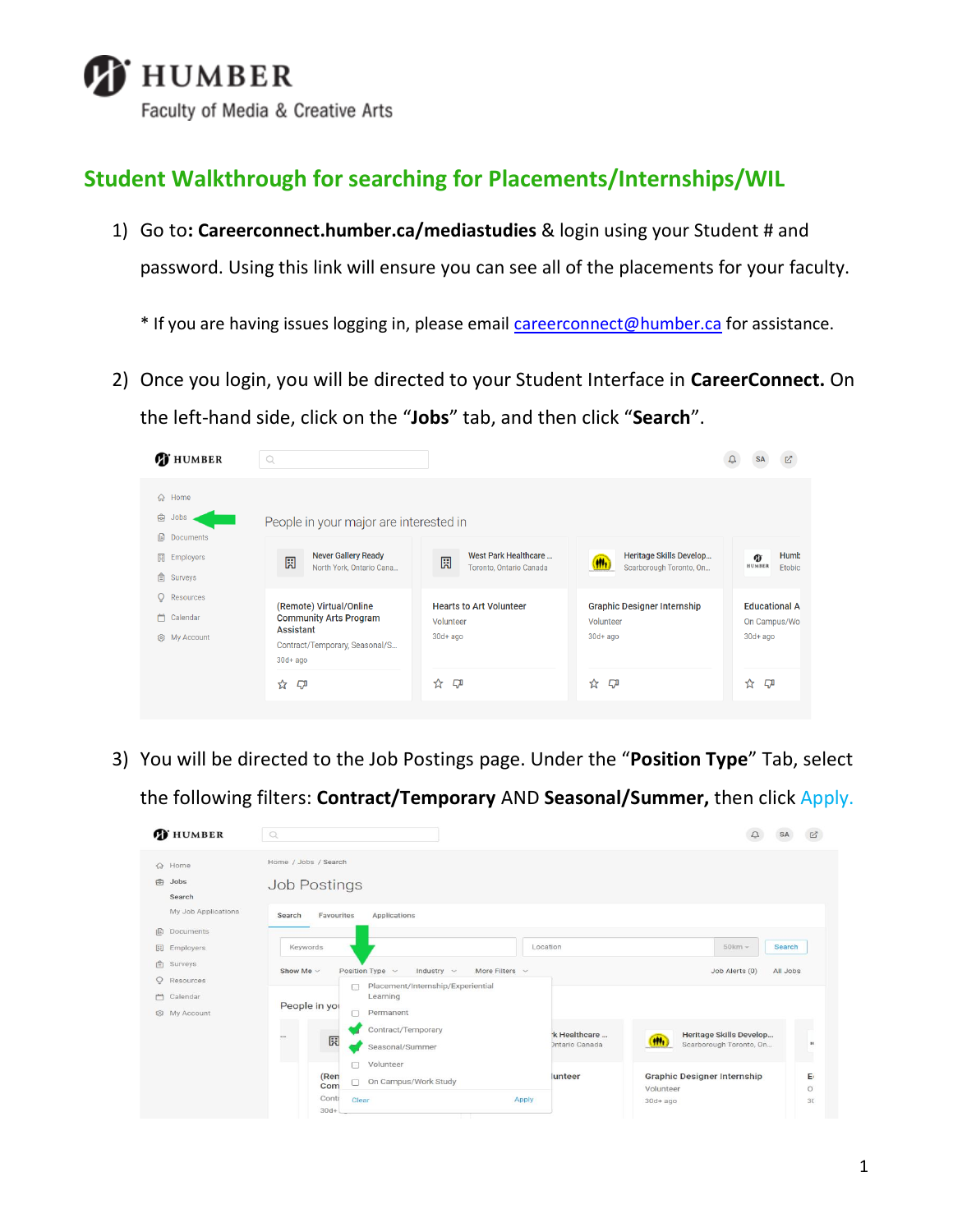

## **Student Walkthrough for searching for Placements/Internships/WIL**

1) Go to**: Careerconnect.humber.ca/mediastudies** & login using your Student # and password. Using this link will ensure you can see all of the placements for your faculty.

\* If you are having issues logging in, please email **careerconnect@humber.ca** for assistance.

2) Once you login, you will be directed to your Student Interface in **CareerConnect.** On the left-hand side, click on the "**Jobs**" tab, and then click "**Search**".

| <b>D</b> HUMBER                                                         | $\mathbb{Q}$                                                                                             |                                                                        |                                                                            |                                                                        |
|-------------------------------------------------------------------------|----------------------------------------------------------------------------------------------------------|------------------------------------------------------------------------|----------------------------------------------------------------------------|------------------------------------------------------------------------|
| 命 Home<br>ౚ<br><b>Jobs</b><br>io.<br><b>Documents</b><br>圜<br>Employers | People in your major are interested in<br><b>Never Gallery Ready</b><br>圆                                | West Park Healthcare<br>圆                                              | Heritage Skills Develop                                                    | Humb<br>G)                                                             |
| 自<br>Surveys<br>O<br>Resources<br>Calendar<br>m                         | North York, Ontario Cana<br>(Remote) Virtual/Online<br><b>Community Arts Program</b><br><b>Assistant</b> | Toronto, Ontario Canada<br><b>Hearts to Art Volunteer</b><br>Volunteer | Scarborough Toronto, On<br><b>Graphic Designer Internship</b><br>Volunteer | <b>HUMBER</b><br><b>Etobic</b><br><b>Educational A</b><br>On Campus/Wo |
| @ My Account                                                            | Contract/Temporary, Seasonal/S<br>$30d + ago$<br>☆<br><b>C</b>                                           | $30d + ago$<br>☆<br><b>C</b>                                           | $30d + aqo$<br>☆<br><b>C</b>                                               | $30d + ago$<br>☆<br>$\Box$                                             |

3) You will be directed to the Job Postings page. Under the "**Position Type**" Tab, select the following filters: **Contract/Temporary** AND **Seasonal/Summer,** then click Apply.

| <b>T</b> HUMBER                                    |                     | $\circ$                                     |                                                                                                       |                |                                       |                                                                |                                                    |          | ☑                  |
|----------------------------------------------------|---------------------|---------------------------------------------|-------------------------------------------------------------------------------------------------------|----------------|---------------------------------------|----------------------------------------------------------------|----------------------------------------------------|----------|--------------------|
| <b>命</b> Home<br>0<br>Jobs<br>Search               |                     | Home / Jobs / Search<br><b>Job Postings</b> |                                                                                                       |                |                                       |                                                                |                                                    |          |                    |
| 旧<br>Documents                                     | My Job Applications | Favourites<br>Search                        | <b>Applications</b>                                                                                   |                |                                       |                                                                |                                                    |          |                    |
| 圆<br>Employers<br>$\mathbb{R}$<br>Surveys          |                     | Keywords                                    |                                                                                                       | Location       |                                       |                                                                | $50km -$                                           | Search   |                    |
| Q<br>Resources<br>m<br>Calendar<br>My Account<br>8 |                     | Show Me $\vee$<br>People in you             | Position Type v<br>Industry $\sim$<br>Placement/Internship/Experiential<br>c<br>Learning<br>Permanent | More Filters v |                                       |                                                                | Job Alerts (0)                                     | All Jobs |                    |
|                                                    |                     | $\cdots$<br>园                               | Contract/Temporary<br>Seasonal/Summer                                                                 |                | k Healthcare<br><b>Dntario Canada</b> | (HH)                                                           | Heritage Skills Develop<br>Scarborough Toronto, On |          | $\mathbf{H}$       |
|                                                    |                     | (Ren<br>Com<br>Contr<br>$30d+$              | Volunteer<br>On Campus/Work Study<br>Clear                                                            | Apply          | lunteer                               | <b>Graphic Designer Internship</b><br>Volunteer<br>$30d + aqo$ |                                                    |          | E<br>$\circ$<br>30 |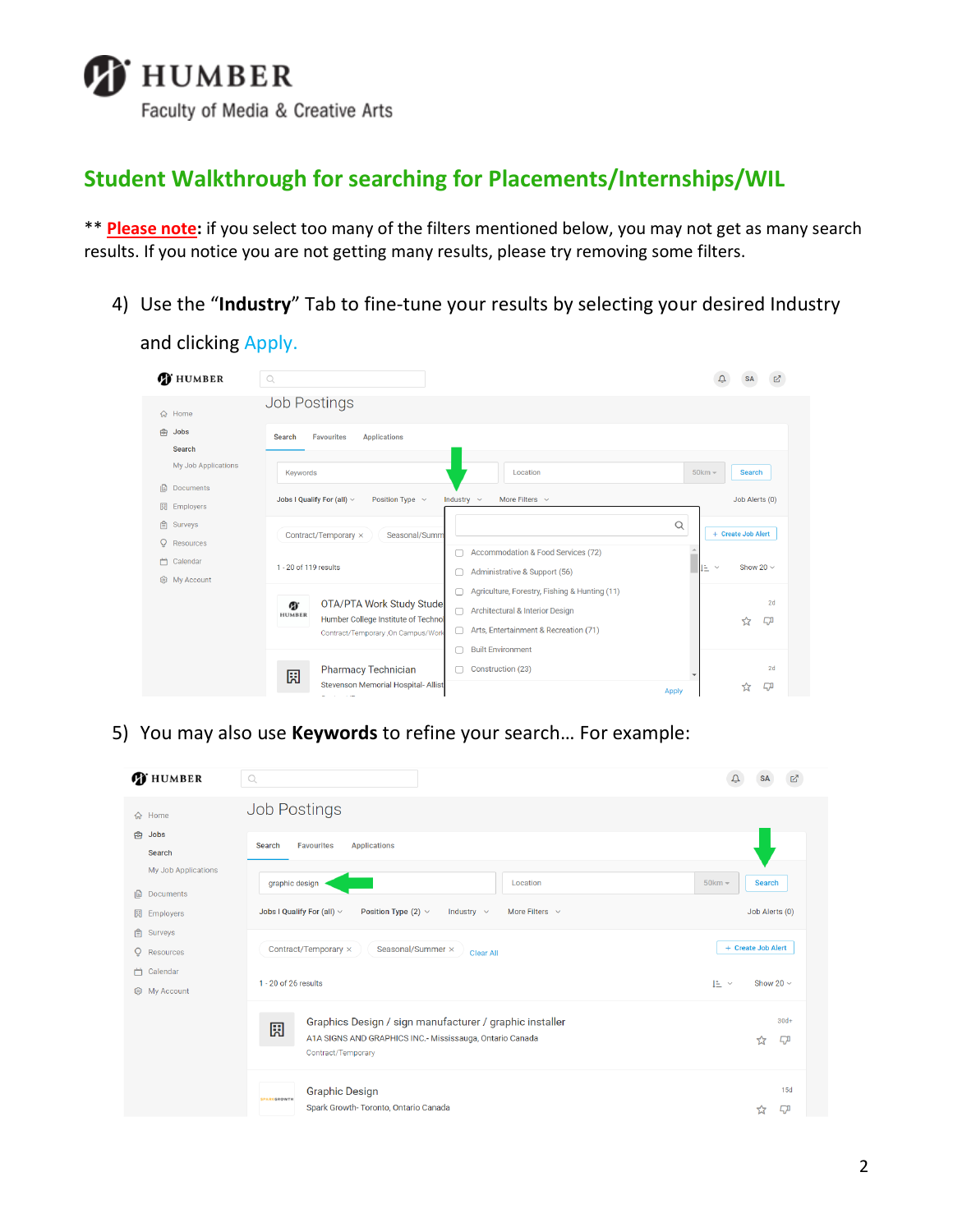

and clicking Apply.

## **Student Walkthrough for searching for Placements/Internships/WIL**

\*\* **Please note:** if you select too many of the filters mentioned below, you may not get as many search results. If you notice you are not getting many results, please try removing some filters.

4) Use the "**Industry**" Tab to fine-tune your results by selecting your desired Industry

| <b>D</b> HUMBER                                 | $\mathbb{Q}$                                                                                                                                                                                                                                                                                                                              |                                               |
|-------------------------------------------------|-------------------------------------------------------------------------------------------------------------------------------------------------------------------------------------------------------------------------------------------------------------------------------------------------------------------------------------------|-----------------------------------------------|
| G Home                                          | <b>Job Postings</b>                                                                                                                                                                                                                                                                                                                       |                                               |
| €<br>Jobs<br>Search<br>My Job Applications      | <b>Favourites</b><br><b>Search</b><br><b>Applications</b>                                                                                                                                                                                                                                                                                 |                                               |
| 旧<br><b>Documents</b><br>園<br><b>Employers</b>  | Location<br><b>Kevwords</b><br>Jobs I Qualify For (all) $\vee$<br>More Filters $\sim$<br>Position Type $\sim$<br>Industry $\sim$                                                                                                                                                                                                          | $50km -$<br><b>Search</b><br>Job Alerts (0)   |
| 自<br>Surveys<br>Ō<br>Resources<br>曲<br>Calendar | Contract/Temporary ×<br>Seasonal/Summ<br>Accommodation & Food Services (72)                                                                                                                                                                                                                                                               | Q<br>+ Create Job Alert<br><b>A</b>           |
| හ<br>My Account                                 | 1 - 20 of 119 results<br>Administrative & Support (56)<br>Agriculture, Forestry, Fishing & Hunting (11)<br>OTA/PTA Work Study Stude<br>Ø.<br><b>Architectural &amp; Interior Design</b><br>С<br><b>HUMBER</b><br>Humber College Institute of Technol<br>Arts, Entertainment & Recreation (71)<br>с<br>Contract/Temporary , On Campus/Work | Show 20 $\sim$<br>IE Y<br>2d<br>☆<br><b>C</b> |
|                                                 | <b>Built Environment</b><br>Pharmacy Technician<br>Construction (23)<br>園<br>Stevenson Memorial Hospital- Allist<br>and the company of the company                                                                                                                                                                                        | 2d<br>ĘД<br>☆<br><b>Apply</b>                 |

5) You may also use **Keywords** to refine your search… For example:

| <b>T</b> HUMBER                                   | $\mathbb{Q}$                                                                                            |                                      |
|---------------------------------------------------|---------------------------------------------------------------------------------------------------------|--------------------------------------|
| <b>命</b> Home                                     | <b>Job Postings</b>                                                                                     |                                      |
| €<br><b>Jobs</b><br>Search<br>My Job Applications | <b>Favourites</b><br><b>Applications</b><br><b>Search</b>                                               |                                      |
| Documents<br>10                                   | graphic design<br>Location                                                                              | $50km -$<br><b>Search</b>            |
| 圓<br>Employers<br>自<br>Surveys                    | Jobs I Qualify For (all) $\vee$<br>Position Type $(2)$ $\vee$<br>More Filters $\sim$<br>Industry $\sim$ | Job Alerts (0)<br>+ Create Job Alert |
| $\overline{Q}$<br>Resources<br>Calendar<br>凸      | Seasonal/Summer ×<br>Contract/Temporary ×<br><b>Clear All</b><br>1 - 20 of 26 results                   | Show 20 $\sim$<br>IE ×               |
| 8 My Account                                      | Graphics Design / sign manufacturer / graphic installer<br>園                                            | $30d+$                               |
|                                                   | A1A SIGNS AND GRAPHICS INC.- Mississauga, Ontario Canada<br>Contract/Temporary                          | ĘД<br>☆                              |
|                                                   | <b>Graphic Design</b><br><b>SPARKGROWTH</b><br>Spark Growth-Toronto, Ontario Canada                     | 15d<br>ĘД<br>ኚፖ                      |